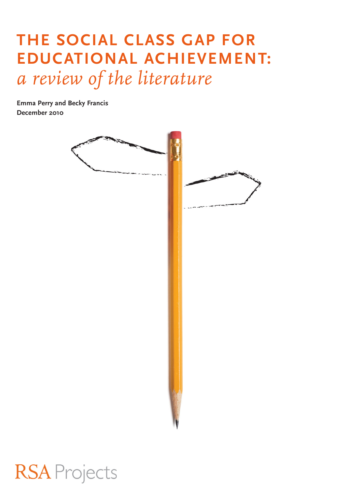# **The social class gap for educational achievement:**  *a review of the literature*

**Emma Perry and Becky Francis December 2010**



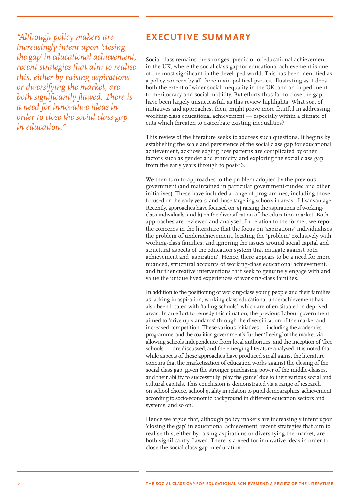*"Although policy makers are increasingly intent upon 'closing the gap' in educational achievement, recent strategies that aim to realise this, either by raising aspirations or diversifying the market, are both significantly flawed. There is a need for innovative ideas in order to close the social class gap in education."*

### **EXECUTIVE SUMMARY**

Social class remains the strongest predictor of educational achievement in the UK, where the social class gap for educational achievement is one of the most significant in the developed world. This has been identified as a policy concern by all three main political parties, illustrating as it does both the extent of wider social inequality in the UK, and an impediment to meritocracy and social mobility. But efforts thus far to close the gap have been largely unsuccessful, as this review highlights. What sort of initiatives and approaches, then, might prove more fruitful in addressing working-class educational achievement — especially within a climate of cuts which threaten to exacerbate existing inequalities?

This review of the literature seeks to address such questions. It begins by establishing the scale and persistence of the social class gap for educational achievement, acknowledging how patterns are complicated by other factors such as gender and ethnicity, and exploring the social class gap from the early years through to post-16.

We then turn to approaches to the problem adopted by the previous government (and maintained in particular government-funded and other initiatives). These have included a range of programmes, including those focused on the early years, and those targeting schools in areas of disadvantage. Recently, approaches have focused on: **a)** raising the aspirations of workingclass individuals, and **b)** on the diversification of the education market. Both approaches are reviewed and analysed. In relation to the former, we report the concerns in the literature that the focus on 'aspirations' individualises the problem of underachievement, locating the 'problem' exclusively with working-class families, and ignoring the issues around social capital and structural aspects of the education system that mitigate against both achievement and 'aspiration'. Hence, there appears to be a need for more nuanced, structural accounts of working-class educational achievement, and further creative interventions that seek to genuinely engage with and value the unique lived experiences of working-class families.

In addition to the positioning of working-class young people and their families as lacking in aspiration, working-class educational underachievement has also been located with 'failing schools', which are often situated in deprived areas. In an effort to remedy this situation, the previous Labour government aimed to 'drive up standards' through the diversification of the market and increased competition. These various initiatives — including the academies programme, and the coalition government's further 'freeing' of the market via allowing schools independence from local authorities, and the inception of 'free schools' — are discussed, and the emerging literature analysed. It is noted that while aspects of these approaches have produced small gains, the literature concurs that the marketisation of education works against the closing of the social class gap, given the stronger purchasing power of the middle-classes, and their ability to successfully 'play the game' due to their various social and cultural capitals. This conclusion is demonstrated via a range of research on school choice, school quality in relation to pupil demographics, achievement according to socio-economic background in different education sectors and systems, and so on.

Hence we argue that, although policy makers are increasingly intent upon 'closing the gap' in educational achievement, recent strategies that aim to realise this, either by raising aspirations or diversifying the market, are both significantly flawed. There is a need for innovative ideas in order to close the social class gap in education.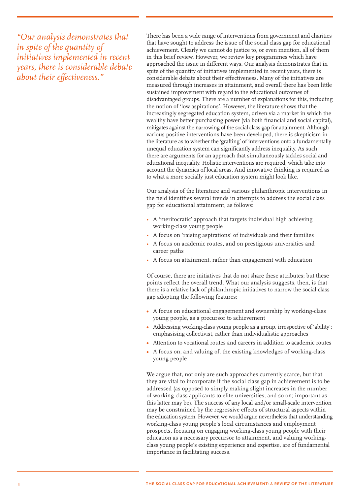*"Our analysis demonstrates that in spite of the quantity of initiatives implemented in recent years, there is considerable debate about their effectiveness."*

There has been a wide range of interventions from government and charities that have sought to address the issue of the social class gap for educational achievement. Clearly we cannot do justice to, or even mention, all of them in this brief review. However, we review key programmes which have approached the issue in different ways. Our analysis demonstrates that in spite of the quantity of initiatives implemented in recent years, there is considerable debate about their effectiveness. Many of the initiatives are measured through increases in attainment, and overall there has been little sustained improvement with regard to the educational outcomes of disadvantaged groups. There are a number of explanations for this, including the notion of 'low aspirations'. However, the literature shows that the increasingly segregated education system, driven via a market in which the wealthy have better purchasing power (via both financial and social capital), mitigates against the narrowing of the social class gap for attainment. Although various positive interventions have been developed, there is skepticism in the literature as to whether the 'grafting' of interventions onto a fundamentally unequal education system can significantly address inequality. As such there are arguments for an approach that simultaneously tackles social and educational inequality. Holistic interventions are required, which take into account the dynamics of local areas. And innovative thinking is required as to what a more socially just education system might look like.

Our analysis of the literature and various philanthropic interventions in the field identifies several trends in attempts to address the social class gap for educational attainment, as follows:

- A 'meritocratic' approach that targets individual high achieving working-class young people
- A focus on 'raising aspirations' of individuals and their families
- A focus on academic routes, and on prestigious universities and career paths
- A focus on attainment, rather than engagement with education

Of course, there are initiatives that do not share these attributes; but these points reflect the overall trend. What our analysis suggests, then, is that there is a relative lack of philanthropic initiatives to narrow the social class gap adopting the following features:

- **•** A focus on educational engagement and ownership by working-class young people, as a precursor to achievement
- **•** Addressing working-class young people as a group, irrespective of 'ability'; emphasising collectivist, rather than individualistic approaches
- **•** Attention to vocational routes and careers in addition to academic routes
- **•** A focus on, and valuing of, the existing knowledges of working-class young people

We argue that, not only are such approaches currently scarce, but that they are vital to incorporate if the social class gap in achievement is to be addressed (as opposed to simply making slight increases in the number of working-class applicants to elite universities, and so on; important as this latter may be). The success of any local and/or small-scale intervention may be constrained by the regressive effects of structural aspects within the education system. However, we would argue nevertheless that understanding working-class young people's local circumstances and employment prospects, focusing on engaging working-class young people with their education as a necessary precursor to attainment, and valuing workingclass young people's existing experience and expertise, are of fundamental importance in facilitating success.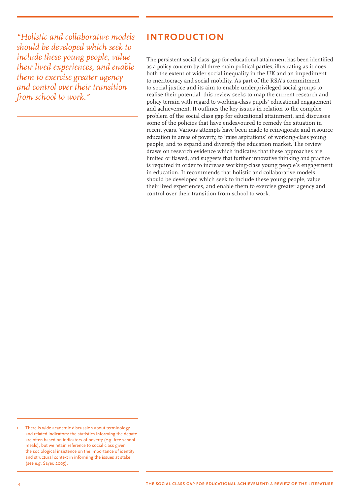*"Holistic and collaborative models should be developed which seek to include these young people, value their lived experiences, and enable them to exercise greater agency and control over their transition from school to work."*

### **Introduction**

The persistent social class<sup>1</sup> gap for educational attainment has been identified as a policy concern by all three main political parties, illustrating as it does both the extent of wider social inequality in the UK and an impediment to meritocracy and social mobility. As part of the RSA's commitment to social justice and its aim to enable underprivileged social groups to realise their potential, this review seeks to map the current research and policy terrain with regard to working-class pupils' educational engagement and achievement. It outlines the key issues in relation to the complex problem of the social class gap for educational attainment, and discusses some of the policies that have endeavoured to remedy the situation in recent years. Various attempts have been made to reinvigorate and resource education in areas of poverty, to 'raise aspirations' of working-class young people, and to expand and diversify the education market. The review draws on research evidence which indicates that these approaches are limited or flawed, and suggests that further innovative thinking and practice is required in order to increase working-class young people's engagement in education. It recommends that holistic and collaborative models should be developed which seek to include these young people, value their lived experiences, and enable them to exercise greater agency and control over their transition from school to work.

There is wide academic discussion about terminology and related indicators: the statistics informing the debate are often based on indicators of poverty (e.g. free school meals), but we retain reference to social class given the sociological insistence on the importance of identity and structural context in informing the issues at stake (see e.g. Sayer, 2005).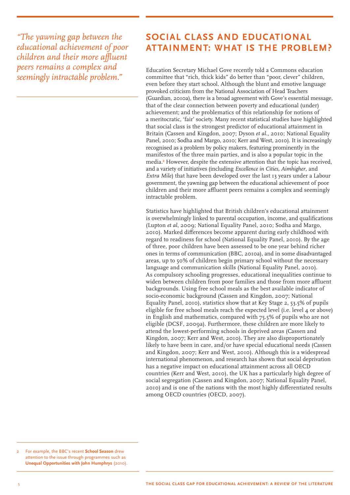*"The yawning gap between the educational achievement of poor children and their more affluent peers remains a complex and seemingly intractable problem."*

## **Social class and educational attainment: what is the problem?**

Education Secretary Michael Gove recently told a Commons education committee that "rich, thick kids" do better than "poor, clever" children, even before they start school. Although the blunt and emotive language provoked criticism from the National Association of Head Teachers (Guardian, 2010a), there is a broad agreement with Gove's essential message, that of the clear connection between poverty and educational (under) achievement; and the problematics of this relationship for notions of a meritocratic, 'fair' society. Many recent statistical studies have highlighted that social class is the strongest predictor of educational attainment in Britain (Cassen and Kingdon, 2007; Dyson *et al.*, 2010; National Equality Panel, 2010; Sodha and Margo, 2010; Kerr and West, 2010). It is increasingly recognised as a problem by policy makers, featuring prominently in the manifestos of the three main parties, and is also a popular topic in the media.**<sup>2</sup>** However, despite the extensive attention that the topic has received, and a variety of initiatives (including *Excellence in Cities, Aimhigher*, and *Extra Mile*) that have been developed over the last 13 years under a Labour government, the yawning gap between the educational achievement of poor children and their more affluent peers remains a complex and seemingly intractable problem.

Statistics have highlighted that British children's educational attainment is overwhelmingly linked to parental occupation, income, and qualifications (Lupton *et al*, 2009; National Equality Panel, 2010; Sodha and Margo, 2010). Marked differences become apparent during early childhood with regard to readiness for school (National Equality Panel, 2010). By the age of three, poor children have been assessed to be one year behind richer ones in terms of communication (BBC, 2010a), and in some disadvantaged areas, up to 50% of children begin primary school without the necessary language and communication skills (National Equality Panel, 2010). As compulsory schooling progresses, educational inequalities continue to widen between children from poor families and those from more affluent backgrounds. Using free school meals as the best available indicator of socio-economic background (Cassen and Kingdon, 2007; National Equality Panel, 2010), statistics show that at Key Stage 2, 53.5% of pupils eligible for free school meals reach the expected level (i.e. level 4 or above) in English and mathematics, compared with 75.5% of pupils who are not eligible (DCSF, 2009a). Furthermore, these children are more likely to attend the lowest-performing schools in deprived areas (Cassen and Kingdon, 2007; Kerr and West, 2010). They are also disproportionately likely to have been in care, and/or have special educational needs (Cassen and Kingdon, 2007; Kerr and West, 2010). Although this is a widespread international phenomenon, and research has shown that social deprivation has a negative impact on educational attainment across all OECD countries (Kerr and West, 2010), the UK has a particularly high degree of social segregation (Cassen and Kingdon, 2007; National Equality Panel, 2010) and is one of the nations with the most highly differentiated results among OECD countries (OECD, 2007).

For example, the BBC's recent **School Season** drew attention to the issue through programmes such as **Unequal Opportunities with John Humphrys** (2010).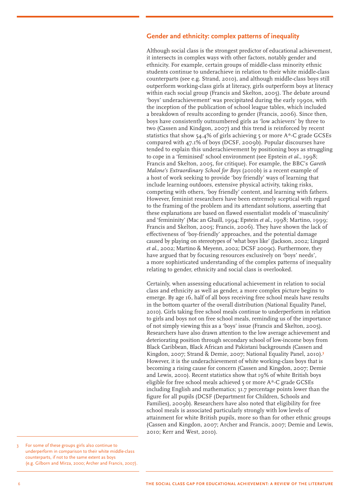#### **Gender and ethnicity: complex patterns of inequality**

Although social class is the strongest predictor of educational achievement, it intersects in complex ways with other factors, notably gender and ethnicity. For example, certain groups of middle-class minority ethnic students continue to underachieve in relation to their white middle-class counterparts (see e.g. Strand, 2010), and although middle-class boys still outperform working-class girls at literacy, girls outperform boys at literacy within each social group (Francis and Skelton, 2005). The debate around 'boys' underachievement' was precipitated during the early 1990s, with the inception of the publication of school league tables, which included a breakdown of results according to gender (Francis, 2006). Since then, boys have consistently outnumbered girls as 'low achievers' by three to two (Cassen and Kindgon, 2007) and this trend is reinforced by recent statistics that show 54.4% of girls achieving 5 or more A\*-C grade GCSEs compared with 47.1% of boys (DCSF, 2009b). Popular discourses have tended to explain this underachievement by positioning boys as struggling to cope in a 'feminised' school environment (see Epstein *et al.*, 1998; Francis and Skelton, 2005, for critique). For example, the BBC's *Gareth Malone's Extraordinary School for Boys* (2010b) is a recent example of a host of work seeking to provide 'boy friendly' ways of learning that include learning outdoors, extensive physical activity, taking risks, competing with others, 'boy friendly' content, and learning with fathers. However, feminist researchers have been extremely sceptical with regard to the framing of the problem and its attendant solutions, asserting that these explanations are based on flawed essentialist models of 'masculinity' and 'femininity' (Mac an Ghaill, 1994; Epstein *et al.*, 1998; Martino, 1999; Francis and Skelton, 2005; Francis, 2006). They have shown the lack of effectiveness of 'boy-friendly' approaches, and the potential damage caused by playing on stereotypes of 'what boys like' (Jackson, 2002; Lingard *et al*., 2002; Martino & Meyenn, 2002; DCSF 2009c). Furthermore, they have argued that by focusing resources exclusively on 'boys' needs', a more sophisticated understanding of the complex patterns of inequality relating to gender, ethnicity and social class is overlooked.

Certainly, when assessing educational achievement in relation to social class and ethnicity as well as gender, a more complex picture begins to emerge. By age 16, half of all boys receiving free school meals have results in the bottom quarter of the overall distribution (National Equality Panel, 2010). Girls taking free school meals continue to underperform in relation to girls and boys not on free school meals, reminding us of the importance of not simply viewing this as a 'boys' issue (Francis and Skelton, 2005). Researchers have also drawn attention to the low average achievement and deteriorating position through secondary school of low-income boys from Black Caribbean, Black African and Pakistani backgrounds (Cassen and Kingdon, 2007; Strand & Demie, 2007; National Equality Panel, 2010).**<sup>3</sup>** However, it is the underachievement of white working-class boys that is becoming a rising cause for concern (Cassen and Kingdon, 2007; Demie and Lewis, 2010). Recent statistics show that 19% of white British boys eligible for free school meals achieved 5 or more A\*-C grade GCSEs including English and mathematics; 31.7 percentage points lower than the figure for all pupils (DCSF (Department for Children, Schools and Families), 2009b). Researchers have also noted that eligibility for free school meals is associated particularly strongly with low levels of attainment for white British pupils, more so than for other ethnic groups (Cassen and Kingdon, 2007; Archer and Francis, 2007; Demie and Lewis, 2010; Kerr and West, 2010).

For some of these groups girls also continue to underperform in comparison to their white middle-class counterparts, if not to the same extent as boys (e.g. Gilborn and Mirza, 2000; Archer and Francis, 2007).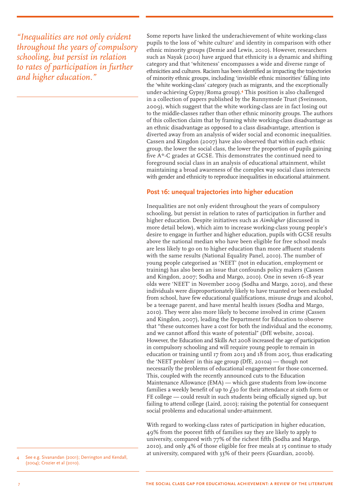*"Inequalities are not only evident throughout the years of compulsory schooling, but persist in relation to rates of participation in further and higher education."*

Some reports have linked the underachievement of white working-class pupils to the loss of 'white culture' and identity in comparison with other ethnic minority groups (Demie and Lewis, 2010). However, researchers such as Nayak (2001) have argued that ethnicity is a dynamic and shifting category and that 'whiteness' encompasses a wide and diverse range of ethnicities and cultures. Racism has been identified as impacting the trajectories of minority ethnic groups, including 'invisible ethnic minorities' falling into the 'white working-class' category (such as migrants, and the exceptionally under-achieving Gypsy/Roma group).**<sup>4</sup>** This position is also challenged in a collection of papers published by the Runnymede Trust (Sveinsson, 2009), which suggest that the white working-class are in fact losing out to the middle-classes rather than other ethnic minority groups. The authors of this collection claim that by framing white working-class disadvantage as an ethnic disadvantage as opposed to a class disadvantage, attention is diverted away from an analysis of wider social and economic inequalities. Cassen and Kingdon (2007) have also observed that within each ethnic group, the lower the social class, the lower the proportion of pupils gaining five A\*-C grades at GCSE. This demonstrates the continued need to foreground social class in an analysis of educational attainment, whilst maintaining a broad awareness of the complex way social class intersects with gender and ethnicity to reproduce inequalities in educational attainment.

#### **Post 16: unequal trajectories into higher education**

Inequalities are not only evident throughout the years of compulsory schooling, but persist in relation to rates of participation in further and higher education. Despite initiatives such as *Aimhigher* (discussed in more detail below), which aim to increase working-class young people's desire to engage in further and higher education, pupils with GCSE results above the national median who have been eligible for free school meals are less likely to go on to higher education than more affluent students with the same results (National Equality Panel, 2010). The number of young people categorised as 'NEET' (not in education, employment or training) has also been an issue that confounds policy makers (Cassen and Kingdon, 2007; Sodha and Margo, 2010). One in seven 16-18 year olds were 'NEET' in November 2009 (Sodha and Margo, 2010), and these individuals were disproportionately likely to have truanted or been excluded from school, have few educational qualifications, misuse drugs and alcohol, be a teenage parent, and have mental health issues (Sodha and Margo, 2010). They were also more likely to become involved in crime (Cassen and Kingdon, 2007), leading the Department for Education to observe that "these outcomes have a cost for both the individual and the economy, and we cannot afford this waste of potential" (DfE website, 2010a). However, the Education and Skills Act 2008 increased the age of participation in compulsory schooling and will require young people to remain in education or training until 17 from 2013 and 18 from 2015, thus eradicating the 'NEET problem' in this age group (DfE, 2010a) — though not necessarily the problems of educational engagement for those concerned. This, coupled with the recently announced cuts to the Education Maintenance Allowance (EMA) — which gave students from low-income families a weekly benefit of up to  $f_3$  for their attendance at sixth form or FE college — could result in such students being officially signed up, but failing to attend college (Laird, 2010); raising the potential for consequent social problems and educational under-attainment.

With regard to working-class rates of participation in higher education, 49% from the poorest fifth of families say they are likely to apply to university, compared with 77% of the richest fifth (Sodha and Margo, 2010), and only 4% of those eligible for free meals at 15 continue to study at university, compared with 33% of their peers (Guardian, 2010b). <sup>4</sup> See e.g. Sivanandan (2001); Derrington and Kendall,

(2004); Crozier et al (2010).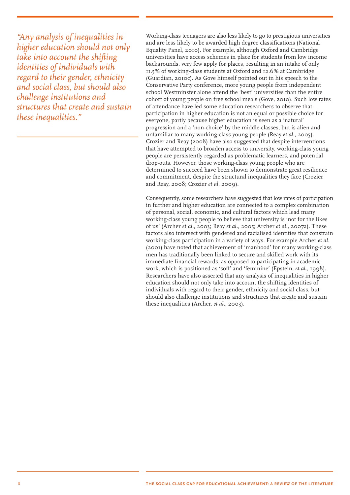*"Any analysis of inequalities in higher education should not only take into account the shifting identities of individuals with regard to their gender, ethnicity and social class, but should also challenge institutions and structures that create and sustain these inequalities."*

Working-class teenagers are also less likely to go to prestigious universities and are less likely to be awarded high degree classifications (National Equality Panel, 2010). For example, although Oxford and Cambridge universities have access schemes in place for students from low income backgrounds, very few apply for places, resulting in an intake of only 11.5% of working-class students at Oxford and 12.6% at Cambridge (Guardian, 2010c). As Gove himself pointed out in his speech to the Conservative Party conference, more young people from independent school Westminster alone attend the 'best' universities than the entire cohort of young people on free school meals (Gove, 2010). Such low rates of attendance have led some education researchers to observe that participation in higher education is not an equal or possible choice for everyone, partly because higher education is seen as a 'natural' progression and a 'non-choice' by the middle-classes, but is alien and unfamiliar to many working-class young people (Reay *et al.*, 2005). Crozier and Reay (2008) have also suggested that despite interventions that have attempted to broaden access to university, working-class young people are persistently regarded as problematic learners, and potential drop-outs. However, those working-class young people who are determined to succeed have been shown to demonstrate great resilience and commitment, despite the structural inequalities they face (Crozier and Reay, 2008; Crozier *et al.* 2009).

Consequently, some researchers have suggested that low rates of participation in further and higher education are connected to a complex combination of personal, social, economic, and cultural factors which lead many working-class young people to believe that university is 'not for the likes of us' (Archer *et al.*, 2003; Reay *et al.*, 2005; Archer *et al.*, 2007a). These factors also intersect with gendered and racialised identities that constrain working-class participation in a variety of ways. For example Archer *et al.* (2001) have noted that achievement of 'manhood' for many working-class men has traditionally been linked to secure and skilled work with its immediate financial rewards, as opposed to participating in academic work, which is positioned as 'soft' and 'feminine' (Epstein, *et al.*, 1998). Researchers have also asserted that any analysis of inequalities in higher education should not only take into account the shifting identities of individuals with regard to their gender, ethnicity and social class, but should also challenge institutions and structures that create and sustain these inequalities (Archer, *et al.*, 2003).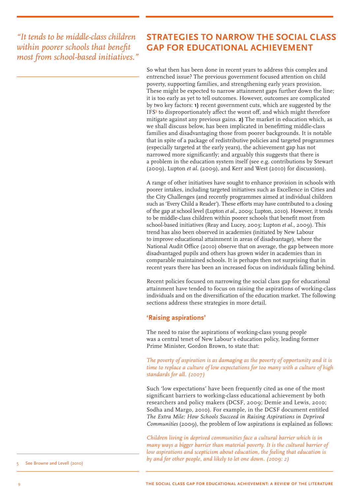*"It tends to be middle-class children within poorer schools that benefit most from school-based initiatives."*

## **Strategies to narrow the social class gap for educational achievement**

So what then has been done in recent years to address this complex and entrenched issue? The previous government focused attention on child poverty, supporting families, and strengthening early years provision. These might be expected to narrow attainment gaps further down the line; it is too early as yet to tell outcomes. However, outcomes are complicated by two key factors: **1)** recent government cuts, which are suggested by the IFS<sup>5</sup> to disproportionately affect the worst off, and which might therefore mitigate against any previous gains. **2)** The market in education which, as we shall discuss below, has been implicated in benefitting middle-class families and disadvantaging those from poorer backgrounds. It is notable that in spite of a package of redistributive policies and targeted programmes (especially targeted at the early years), the achievement gap has not narrowed more significantly; and arguably this suggests that there is a problem in the education system itself (see e.g. contributions by Stewart (2009), Lupton *et al.* (2009), and Kerr and West (2010) for discussion).

A range of other initiatives have sought to enhance provision in schools with poorer intakes, including targeted initiatives such as Excellence in Cities and the City Challenges (and recently programmes aimed at individual children such as 'Every Child a Reader'). These efforts may have contributed to a closing of the gap at school level (Lupton *et al.*, 2009; Lupton, 2010). However, it tends to be middle-class children within poorer schools that benefit most from school-based initiatives (Reay and Lucey, 2003; Lupton *et al.*, 2009). This trend has also been observed in academies (initiated by New Labour to improve educational attainment in areas of disadvantage), where the National Audit Office (2010) observe that on average, the gap between more disadvantaged pupils and others has grown wider in academies than in comparable maintained schools. It is perhaps then not surprising that in recent years there has been an increased focus on individuals falling behind.

Recent policies focused on narrowing the social class gap for educational attainment have tended to focus on raising the aspirations of working-class individuals and on the diversification of the education market. The following sections address these strategies in more detail.

#### **'Raising aspirations'**

The need to raise the aspirations of working-class young people was a central tenet of New Labour's education policy, leading former Prime Minister, Gordon Brown, to state that:

#### *The poverty of aspiration is as damaging as the poverty of opportunity and it is time to replace a culture of low expectations for too many with a culture of high standards for all. (2007)*

Such 'low expectations' have been frequently cited as one of the most significant barriers to working-class educational achievement by both researchers and policy makers (DCSF, 2009; Demie and Lewis, 2010; Sodha and Margo, 2010). For example, in the DCSF document entitled *The Extra Mile: How Schools Succeed in Raising Aspirations in Deprived Communities* (2009), the problem of low aspirations is explained as follows:

*Children living in deprived communities face a cultural barrier which is in many ways a bigger barrier than material poverty. It is the cultural barrier of*  low aspirations and scepticism about education, the feeling that education is *by and for other people, and likely to let one down. (2009: 2) by and for other people, and likely to let one down. (2009: 2)*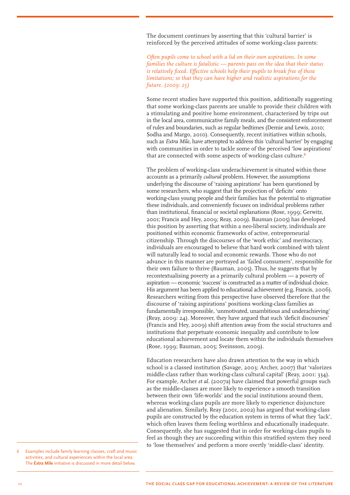The document continues by asserting that this 'cultural barrier' is reinforced by the perceived attitudes of some working-class parents:

*Often pupils come to school with a lid on their own aspirations. In some families the culture is fatalistic — parents pass on the idea that their status is relatively fixed. Effective schools help their pupils to break free of these limitations; so that they can have higher and realistic aspirations for the future. (2009: 25)*

Some recent studies have supported this position, additionally suggesting that some working-class parents are unable to provide their children with a stimulating and positive home environment, characterised by trips out in the local area, communicative family meals, and the consistent enforcement of rules and boundaries, such as regular bedtimes (Demie and Lewis, 2010; Sodha and Margo, 2010). Consequently, recent initiatives within schools, such as *Extra Mile,* have attempted to address this 'cultural barrier' by engaging with communities in order to tackle some of the perceived 'low aspirations' that are connected with some aspects of working-class culture.**<sup>6</sup>**

The problem of working-class underachievement is situated within these accounts as a primarily *cultural* problem. However, the assumptions underlying the discourse of 'raising aspirations' has been questioned by some researchers, who suggest that the projection of 'deficits' onto working-class young people and their families has the potential to stigmatise these individuals, and conveniently focuses on individual problems rather than institutional, financial or societal explanations (Rose, 1999; Gerwitz, 2001; Francis and Hey, 2009; Reay, 2009). Bauman (2005) has developed this position by asserting that within a neo-liberal society, individuals are positioned within economic frameworks of active, entrepreneurial citizenship. Through the discourses of the 'work ethic' and meritocracy, individuals are encouraged to believe that hard work combined with talent will naturally lead to social and economic rewards. Those who do not advance in this manner are portrayed as 'failed consumers', responsible for their own failure to thrive (Bauman, 2005). Thus, he suggests that by recontextualising poverty as a primarily cultural problem — a poverty of aspiration — economic 'success' is constructed as a matter of individual choice. His argument has been applied to educational achievement (e.g. Francis, 2006). Researchers writing from this perspective have observed therefore that the discourse of 'raising aspirations' positions working-class families as fundamentally irresponsible, 'unmotivated, unambitious and underachieving' (Reay, 2009: 24). Moreover, they have argued that such 'deficit discourses' (Francis and Hey, 2009) shift attention away from the social structures and institutions that perpetuate economic inequality and contribute to low educational achievement and locate them within the individuals themselves (Rose, 1999; Bauman, 2005; Sveinsson, 2009).

Education researchers have also drawn attention to the way in which school is a classed institution (Savage, 2003; Archer, 2007) that 'valorizes middle-class rather than working-class cultural capital' (Reay, 2001: 334). For example, Archer *et al.* (2007a) have claimed that powerful groups such as the middle-classes are more likely to experience a smooth transition between their own 'life-worlds' and the social institutions around them, whereas working-class pupils are more likely to experience disjuncture and alienation. Similarly, Reay (2001, 2002) has argued that working-class pupils are constructed by the education system in terms of what they 'lack', which often leaves them feeling worthless and educationally inadequate. Consequently, she has suggested that in order for working-class pupils to feel as though they are succeeding within this stratified system they need to 'lose themselves' and perform a more overtly 'middle-class' identity.

Examples include family learning classes, craft and music activities, and cultural experiences within the local area. The **Extra Mile** initiative is discussed in more detail below.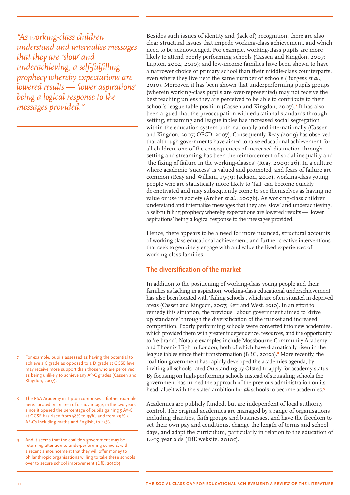*"As working-class children understand and internalise messages that they are 'slow' and underachieving, a self-fulfilling prophecy whereby expectations are lowered results — 'lower aspirations' being a logical response to the messages provided."*

- For example, pupils assessed as having the potential to achieve a C grade as opposed to a D grade at GCSE level may receive more support than those who are perceived as being unlikely to achieve any A\*-C grades (Cassen and Kingdon, 2007).
- 8 The RSA Academy in Tipton comprises a further example here: located in an area of disadvantage, in the two years since it opened the percentage of pupils gaining 5 A\*-C at GCSE has risen from 58% to 95%, and from 29% 5 A\*-Cs including maths and English, to 45%.
- 9 And it seems that the coalition government may be returning attention to underperforming schools, with a recent announcement that they will offer money to philanthropic organisations willing to take these schools over to secure school improvement (DfE, 2010b)

Besides such issues of identity and (lack of) recognition, there are also clear structural issues that impede working-class achievement, and which need to be acknowledged. For example, working-class pupils are more likely to attend poorly performing schools (Cassen and Kingdon, 2007; Lupton, 2004; 2010); and low-income families have been shown to have a narrower choice of primary school than their middle-class counterparts, even where they live near the same number of schools (Burgess *et al.*, 2010). Moreover, it has been shown that underperforming pupils groups (wherein working-class pupils are over-represented) may not receive the best teaching unless they are perceived to be able to contribute to their school's league table position (Cassen and Kingdon, 2007).**<sup>7</sup>** It has also been argued that the preoccupation with educational standards through setting, streaming and league tables has increased social segregation within the education system both nationally and internationally (Cassen and Kingdon, 2007; OECD, 2007). Consequently, Reay (2009) has observed that although governments have aimed to raise educational achievement for all children, one of the consequences of increased distinction through setting and streaming has been the reinforcement of social inequality and 'the fixing of failure in the working-classes' (Reay, 2009: 26). In a culture where academic 'success' is valued and promoted, and fears of failure are common (Reay and William, 1999; Jackson, 2010), working-class young people who are statistically more likely to 'fail' can become quickly de-motivated and may subsequently come to see themselves as having no value or use in society (Archer *et al.*, 2007b). As working-class children understand and internalise messages that they are 'slow' and underachieving, a self-fulfilling prophecy whereby expectations are lowered results — 'lower aspirations' being a logical response to the messages provided.

Hence, there appears to be a need for more nuanced, structural accounts of working-class educational achievement, and further creative interventions that seek to genuinely engage with and value the lived experiences of working-class families.

#### **The diversification of the market**

In addition to the positioning of working-class young people and their families as lacking in aspiration, working-class educational underachievement has also been located with 'failing schools', which are often situated in deprived areas (Cassen and Kingdon, 2007; Kerr and West, 2010). In an effort to remedy this situation, the previous Labour government aimed to 'drive up standards' through the diversification of the market and increased competition. Poorly performing schools were converted into new academies, which provided them with greater independence, resources, and the opportunity to 're-brand'. Notable examples include Mossbourne Community Academy and Phoenix High in London, both of which have dramatically risen in the league tables since their transformation (BBC, 2010a).**<sup>8</sup>** More recently, the coalition government has rapidly developed the academies agenda, by inviting all schools rated Outstanding by Ofsted to apply for academy status. By focusing on high-performing schools instead of struggling schools the government has turned the approach of the previous administration on its head, albeit with the stated ambition for *all* schools to become academies.**<sup>9</sup>**

Academies are publicly funded, but are independent of local authority control. The original academies are managed by a range of organisations including charities, faith groups and businesses, and have the freedom to set their own pay and conditions, change the length of terms and school days, and adapt the curriculum, particularly in relation to the education of 14-19 year olds (DfE website, 2010c).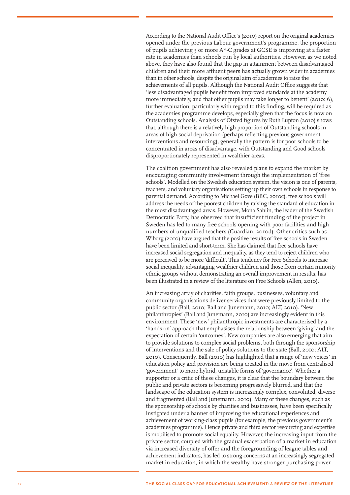According to the National Audit Office's (2010) report on the original academies opened under the previous Labour government's programme, the proportion of pupils achieving 5 or more A\*-C grades at GCSE is improving at a faster rate in academies than schools run by local authorities. However, as we noted above, they have also found that the gap in attainment between disadvantaged children and their more affluent peers has actually grown wider in academies than in other schools, despite the original aim of academies to raise the achievements of all pupils. Although the National Audit Office suggests that 'less disadvantaged pupils benefit from improved standards at the academy more immediately, and that other pupils may take longer to benefit' (2010: 6), further evaluation, particularly with regard to this finding, will be required as the academies programme develops, especially given that the focus is now on Outstanding schools. Analysis of Ofsted figures by Ruth Lupton (2010) shows that, although there is a relatively high proportion of Outstanding schools in areas of high social deprivation (perhaps reflecting previous government interventions and resourcing), generally the pattern is for poor schools to be concentrated in areas of disadvantage, with Outstanding and Good schools disproportionately represented in wealthier areas.

The coalition government has also revealed plans to expand the market by encouraging community involvement through the implementation of 'free schools'. Modelled on the Swedish education system, the vision is one of parents, teachers, and voluntary organisations setting up their own schools in response to parental demand. According to Michael Gove (BBC, 2010c), free schools will address the needs of the poorest children by raising the standard of education in the most disadvantaged areas. However, Mona Sahlin, the leader of the Swedish Democratic Party, has observed that insufficient funding of the project in Sweden has led to many free schools opening with poor facilities and high numbers of unqualified teachers (Guardian, 2010d). Other critics such as Wiborg (2010) have argued that the positive results of free schools in Sweden have been limited and short-term. She has claimed that free schools have increased social segregation and inequality, as they tend to reject children who are perceived to be more 'difficult'. This tendency for Free Schools to increase social inequality, advantaging wealthier children and those from certain minority ethnic groups without demonstrating an overall improvement in results, has been illustrated in a review of the literature on Free Schools (Allen, 2010).

An increasing array of charities, faith groups, businesses, voluntary and community organisations deliver services that were previously limited to the public sector (Ball, 2010; Ball and Junemann, 2010; ALT, 2010). 'New philanthropies' (Ball and Junemann, 2010) are increasingly evident in this environment. These 'new' philanthropic investments are characterised by a 'hands on' approach that emphasises the relationship between 'giving' and the expectation of certain 'outcomes'. New companies are also emerging that aim to provide solutions to complex social problems, both through the sponsorship of interventions and the sale of policy solutions to the state (Ball, 2010; ALT, 2010). Consequently, Ball (2010) has highlighted that a range of 'new voices' in education policy and provision are being created in the move from centralised 'government' to more hybrid, unstable forms of 'governance'. Whether a supporter or a critic of these changes, it is clear that the boundary between the public and private sectors is becoming progressively blurred, and that the landscape of the education system is increasingly complex, convoluted, diverse and fragmented (Ball and Junemann, 2010). Many of these changes, such as the sponsorship of schools by charities and businesses, have been specifically instigated under a banner of improving the educational experiences and achievement of working-class pupils (for example, the previous government's academies programme). Hence private and third sector resourcing and expertise is mobilised to promote social equality. However, the increasing input from the private sector, coupled with the gradual exacerbation of a market in education via increased diversity of offer and the foregrounding of league tables and achievement indicators, has led to strong concerns at an increasingly segregated market in education, in which the wealthy have stronger purchasing power.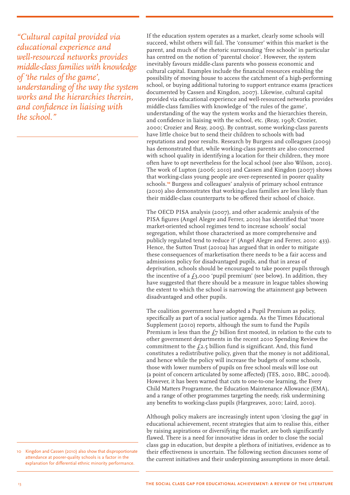*"Cultural capital provided via educational experience and well-resourced networks provides middle-class families with knowledge of 'the rules of the game', understanding of the way the system works and the hierarchies therein, and confidence in liaising with the school."*

If the education system operates as a market, clearly some schools will succeed, whilst others will fail. The 'consumer' within this market is the parent, and much of the rhetoric surrounding 'free schools' in particular has centred on the notion of 'parental choice'. However, the system inevitably favours middle-class parents who possess economic and cultural capital. Examples include the financial resources enabling the possibility of moving house to access the catchment of a high-performing school, or buying additional tutoring to support entrance exams (practices documented by Cassen and Kingdon, 2007). Likewise, cultural capital provided via educational experience and well-resourced networks provides middle-class families with knowledge of 'the rules of the game', understanding of the way the system works and the hierarchies therein, and confidence in liaising with the school, etc. (Reay, 1998; Crozier, 2000; Crozier and Reay, 2005). By contrast, some working-class parents have little choice but to send their children to schools with bad reputations and poor results. Research by Burgess and colleagues (2009) has demonstrated that, while working-class parents are also concerned with school quality in identifying a location for their children, they more often have to opt nevertheless for the local school (see also Wilson, 2010). The work of Lupton (2006; 2010) and Cassen and Kingdon (2007) shows that working-class young people are over-represented in poorer quality schools.**<sup>10</sup>** Burgess and colleagues' analysis of primary school entrance (2010) also demonstrates that working-class families are less likely than their middle-class counterparts to be offered their school of choice.

The OECD PISA analysis (2007), and other academic analysis of the PISA figures (Angel Alegre and Ferrer, 2010) has identified that 'more market-oriented school regimes tend to increase schools' social segregation, whilst those characterised as more comprehensive and publicly regulated tend to reduce it' (Angel Alegre and Ferrer, 2010: 433). Hence, the Sutton Trust (2010a) has argued that in order to mitigate these consequences of marketisation there needs to be a fair access and admissions policy for disadvantaged pupils, and that in areas of deprivation, schools should be encouraged to take poorer pupils through the incentive of a  $f_3,000$  'pupil premium' (see below). In addition, they have suggested that there should be a measure in league tables showing the extent to which the school is narrowing the attainment gap between disadvantaged and other pupils.

The coalition government have adopted a Pupil Premium as policy, specifically as part of a social justice agenda. As the Times Educational Supplement (2010) reports, although the sum to fund the Pupils Premium is less than the  $f_7$  billion first mooted, in relation to the cuts to other government departments in the recent 2010 Spending Review the commitment to the  $f_2$ ,  $f_5$  billion fund is significant. And, this fund constitutes a redistributive policy, given that the money is not additional, and hence while the policy will increase the budgets of some schools, those with lower numbers of pupils on free school meals will lose out (a point of concern articulated by some affected) (TES, 2010, BBC, 2010d). However, it has been warned that cuts to one-to-one learning, the Every Child Matters Programme, the Education Maintenance Allowance (EMA), and a range of other programmes targeting the needy, risk undermining any benefits to working-class pupils (Hargreaves, 2010; Laird, 2010).

Although policy makers are increasingly intent upon 'closing the gap' in educational achievement, recent strategies that aim to realise this, either by raising aspirations or diversifying the market, are both significantly flawed. There is a need for innovative ideas in order to close the social class gap in education, but despite a plethora of initiatives, evidence as to their effectiveness is uncertain. The following section discusses some of the current initiatives and their underpinning assumptions in more detail.

10 Kingdon and Cassen (2010) also show that disproportionate attendance at poorer-quality schools is a factor in the explanation for differential ethnic minority performance.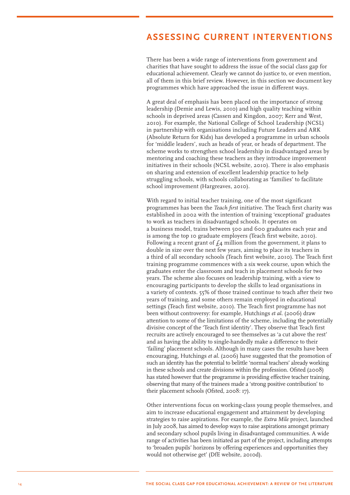### **Ass essing curr e n t interv e n tions**

There has been a wide range of interventions from government and charities that have sought to address the issue of the social class gap for educational achievement. Clearly we cannot do justice to, or even mention, all of them in this brief review. However, in this section we document key programmes which have approached the issue in different ways.

A great deal of emphasis has been placed on the importance of strong leadership (Demie and Lewis, 2010) and high quality teaching within schools in deprived areas (Cassen and Kingdon, 2007; Kerr and West, 2010). For example, the National College of School Leadership (NCSL) in partnership with organisations including Future Leaders and ARK (Absolute Return for Kids) has developed a programme in urban schools for 'middle leaders', such as heads of year, or heads of department. The scheme works to strengthen school leadership in disadvantaged areas by mentoring and coaching these teachers as they introduce improvement initiatives in their schools (NCSL website, 2010). There is also emphasis on sharing and extension of excellent leadership practice to help struggling schools, with schools collaborating as 'families' to facilitate school improvement (Hargreaves, 2010).

With regard to initial teacher training, one of the most significant programmes has been the *Teach first* initiative. The Teach first charity was established in 2002 with the intention of training 'exceptional' graduates to work as teachers in disadvantaged schools. It operates on a business model, trains between 500 and 600 graduates each year and is among the top 10 graduate employers (Teach first website, 2010). Following a recent grant of  $f_4$  million from the government, it plans to double in size over the next few years, aiming to place its teachers in a third of all secondary schools (Teach first website, 2010). The Teach first training programme commences with a six week course, upon which the graduates enter the classroom and teach in placement schools for two years. The scheme also focuses on leadership training, with a view to encouraging participants to develop the skills to lead organisations in a variety of contexts. 55% of those trained continue to teach after their two years of training, and some others remain employed in educational settings (Teach first website, 2010). The Teach first programme has not been without controversy: for example, Hutchings *et al.* (2006) draw attention to some of the limitations of the scheme, including the potentially divisive concept of the 'Teach first identity'. They observe that Teach first recruits are actively encouraged to see themselves as 'a cut above the rest' and as having the ability to single-handedly make a difference to their 'failing' placement schools. Although in many cases the results have been encouraging, Hutchings *et al.* (2006) have suggested that the promotion of such an identity has the potential to belittle 'normal teachers' already working in these schools and create divisions within the profession. Ofsted (2008) has stated however that the programme is providing effective teacher training, observing that many of the trainees made a 'strong positive contribution' to their placement schools (Ofsted, 2008: 17).

Other interventions focus on working-class young people themselves, and aim to increase educational engagement and attainment by developing strategies to raise aspirations. For example, the *Extra Mile* project, launched in July 2008, has aimed to develop ways to raise aspirations amongst primary and secondary school pupils living in disadvantaged communities. A wide range of activities has been initiated as part of the project, including attempts to 'broaden pupils' horizons by offering experiences and opportunities they would not otherwise get' (DfE website, 2010d).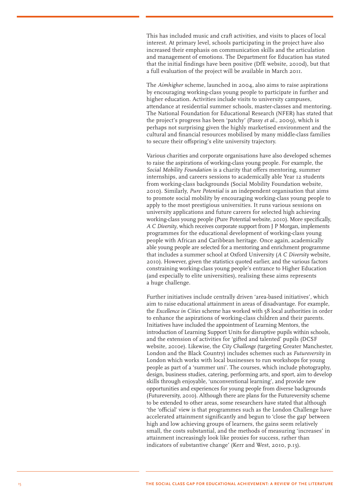This has included music and craft activities, and visits to places of local interest. At primary level, schools participating in the project have also increased their emphasis on communication skills and the articulation and management of emotions. The Department for Education has stated that the initial findings have been positive (DfE website, 2010d), but that a full evaluation of the project will be available in March 2011.

The *Aimhigher* scheme, launched in 2004, also aims to raise aspirations by encouraging working-class young people to participate in further and higher education. Activities include visits to university campuses, attendance at residential summer schools, master-classes and mentoring. The National Foundation for Educational Research (NFER) has stated that the project's progress has been 'patchy' (Passy *et al.,* 2009), which is perhaps not surprising given the highly marketised environment and the cultural and financial resources mobilised by many middle-class families to secure their offspring's elite university trajectory.

Various charities and corporate organisations have also developed schemes to raise the aspirations of working-class young people. For example, the Social Mobility Foundation is a charity that offers mentoring, summer internships, and careers sessions to academically able Year 12 students from working-class backgrounds (Social Mobility Foundation website, 2010). Similarly, *Pure Potential* is an independent organisation that aims to promote social mobility by encouraging working-class young people to apply to the most prestigious universities. It runs various sessions on university applications and future careers for selected high achieving working-class young people (Pure Potential website, 2010). More specifically, *A C Diversity*, which receives corporate support from J P Morgan, implements programmes for the educational development of working-class young people with African and Caribbean heritage. Once again, academically able young people are selected for a mentoring and enrichment programme that includes a summer school at Oxford University (*A C Diversity* website, 2010). However, given the statistics quoted earlier, and the various factors constraining working-class young people's entrance to Higher Education (and especially to elite universities), realising these aims represents a huge challenge.

Further initiatives include centrally driven 'area-based initiatives', which aim to raise educational attainment in areas of disadvantage. For example, the *Excellence in Cities* scheme has worked with 58 local authorities in order to enhance the aspirations of working-class children and their parents. Initiatives have included the appointment of Learning Mentors, the introduction of Learning Support Units for disruptive pupils within schools, and the extension of activities for 'gifted and talented' pupils (DCSF website, 2010e). Likewise, the *City Challenge* (targeting Greater Manchester, London and the Black Country) includes schemes such as *Futureversity* in London which works with local businesses to run workshops for young people as part of a 'summer uni'. The courses, which include photography, design, business studies, catering, performing arts, and sport, aim to develop skills through enjoyable, 'unconventional learning', and provide new opportunities and experiences for young people from diverse backgrounds (Futureversity, 2010). Although there are plans for the Futureversity scheme to be extended to other areas, some researchers have stated that although 'the 'official' view is that programmes such as the London Challenge have accelerated attainment significantly and begun to 'close the gap' between high and low achieving groups of learners, the gains seem relatively small, the costs substantial, and the methods of measuring 'increases' in attainment increasingly look like proxies for success, rather than indicators of substantive change' (Kerr and West, 2010, p.13).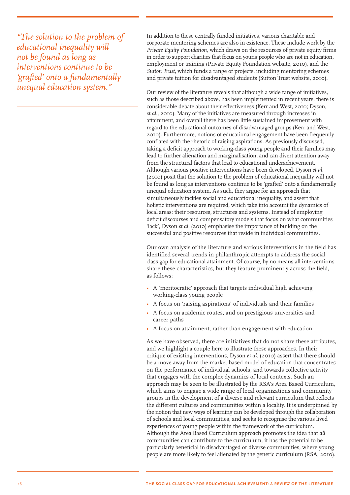*"The solution to the problem of educational inequality will not be found as long as interventions continue to be 'grafted' onto a fundamentally unequal education system."*

In addition to these centrally funded initiatives, various charitable and corporate mentoring schemes are also in existence. These include work by the *Private Equity Foundation,* which draws on the resources of private equity firms in order to support charities that focus on young people who are not in education, employment or training (Private Equity Foundation website, 2010), and the *Sutton Trust*, which funds a range of projects, including mentoring schemes and private tuition for disadvantaged students (Sutton Trust website, 2010).

Our review of the literature reveals that although a wide range of initiatives, such as those described above, has been implemented in recent years, there is considerable debate about their effectiveness (Kerr and West, 2010; Dyson, *et al.*, 2010). Many of the initiatives are measured through increases in attainment, and overall there has been little sustained improvement with regard to the educational outcomes of disadvantaged groups (Kerr and West, 2010). Furthermore, notions of educational engagement have been frequently conflated with the rhetoric of raising aspirations. As previously discussed, taking a deficit approach to working-class young people and their families may lead to further alienation and marginalisation, and can divert attention away from the structural factors that lead to educational underachievement. Although various positive interventions have been developed, Dyson *et al.* (2010) posit that the solution to the problem of educational inequality will not be found as long as interventions continue to be 'grafted' onto a fundamentally unequal education system. As such, they argue for an approach that simultaneously tackles social and educational inequality, and assert that holistic interventions are required, which take into account the dynamics of local areas: their resources, structures and systems. Instead of employing deficit discourses and compensatory models that focus on what communities 'lack', Dyson *et al.* (2010) emphasise the importance of building on the successful and positive resources that reside in individual communities.

Our own analysis of the literature and various interventions in the field has identified several trends in philanthropic attempts to address the social class gap for educational attainment. Of course, by no means all interventions share these characteristics, but they feature prominently across the field, as follows:

- A 'meritocratic' approach that targets individual high achieving working-class young people
- A focus on 'raising aspirations' of individuals and their families
- A focus on academic routes, and on prestigious universities and career paths
- A focus on attainment, rather than engagement with education

As we have observed, there are initiatives that do not share these attributes, and we highlight a couple here to illustrate these approaches. In their critique of existing interventions, Dyson *et al*. (2010) assert that there should be a move away from the market-based model of education that concentrates on the performance of individual schools, and towards collective activity that engages with the complex dynamics of local contexts. Such an approach may be seen to be illustrated by the RSA's Area Based Curriculum, which aims to engage a wide range of local organizations and community groups in the development of a diverse and relevant curriculum that reflects the different cultures and communities within a locality. It is underpinned by the notion that new ways of learning can be developed through the collaboration of schools and local communities, and seeks to recognise the various lived experiences of young people within the framework of the curriculum. Although the Area Based Curriculum approach promotes the idea that *all* communities can contribute to the curriculum, it has the potential to be particularly beneficial in disadvantaged or diverse communities, where young people are more likely to feel alienated by the generic curriculum (RSA, 2010).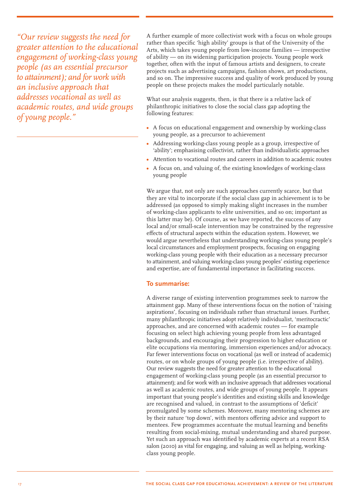*"Our review suggests the need for greater attention to the educational engagement of working-class young people (as an essential precursor to attainment); and for work with an inclusive approach that addresses vocational as well as academic routes, and wide groups of young people."*

A further example of more collectivist work with a focus on whole groups rather than specific 'high ability' groups is that of the University of the Arts, which takes young people from low-income families — irrespective of ability — on its widening participation projects. Young people work together, often with the input of famous artists and designers, to create projects such as advertising campaigns, fashion shows, art productions, and so on. The impressive success and quality of work produced by young people on these projects makes the model particularly notable.

What our analysis suggests, then, is that there is a relative lack of philanthropic initiatives to close the social class gap adopting the following features:

- A focus on educational engagement and ownership by working-class young people, as a precursor to achievement
- Addressing working-class young people as a group, irrespective of 'ability'; emphasising collectivist, rather than individualistic approaches
- Attention to vocational routes and careers in addition to academic routes
- A focus on, and valuing of, the existing knowledges of working-class young people

We argue that, not only are such approaches currently scarce, but that they are vital to incorporate if the social class gap in achievement is to be addressed (as opposed to simply making slight increases in the number of working-class applicants to elite universities, and so on; important as this latter may be). Of course, as we have reported, the success of any local and/or small-scale intervention may be constrained by the regressive effects of structural aspects within the education system. However, we would argue nevertheless that understanding working-class young people's local circumstances and employment prospects, focusing on engaging working-class young people with their education as a necessary precursor to attainment, and valuing working-class young peoples' existing experience and expertise, are of fundamental importance in facilitating success.

#### **To summarise:**

A diverse range of existing intervention programmes seek to narrow the attainment gap. Many of these interventions focus on the notion of 'raising aspirations', focusing on individuals rather than structural issues. Further, many philanthropic initiatives adopt relatively individualist, 'meritocractic' approaches, and are concerned with academic routes — for example focusing on select high achieving young people from less advantaged backgrounds, and encouraging their progression to higher education or elite occupations via mentoring, immersion experiences and/or advocacy. Far fewer interventions focus on vocational (as well or instead of academic) routes, or on whole groups of young people (i.e. irrespective of ability). Our review suggests the need for greater attention to the educational engagement of working-class young people (as an essential precursor to attainment); and for work with an inclusive approach that addresses vocational as well as academic routes, and wide groups of young people. It appears important that young people's identities and existing skills and knowledge are recognised and valued, in contrast to the assumptions of 'deficit' promulgated by some schemes. Moreover, many mentoring schemes are by their nature 'top down', with mentors offering advice and support to mentees. Few programmes accentuate the mutual learning and benefits resulting from social-mixing, mutual understanding and shared purpose. Yet such an approach was identified by academic experts at a recent RSA salon (2010) as vital for engaging, and valuing as well as helping, workingclass young people.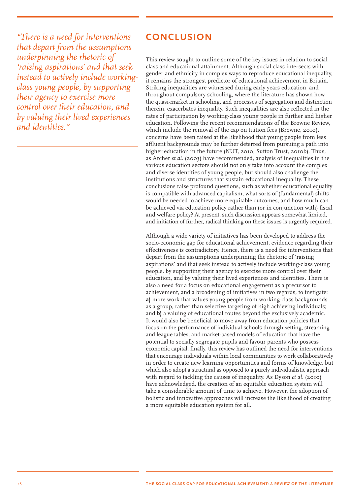*"There is a need for interventions that depart from the assumptions underpinning the rhetoric of 'raising aspirations' and that seek instead to actively include workingclass young people, by supporting their agency to exercise more control over their education, and by valuing their lived experiences and identities."*

### **Conclusion**

This review sought to outline some of the key issues in relation to social class and educational attainment. Although social class intersects with gender and ethnicity in complex ways to reproduce educational inequality, it remains the strongest predictor of educational achievement in Britain. Striking inequalities are witnessed during early years education, and throughout compulsory schooling, where the literature has shown how the quasi-market in schooling, and processes of segregation and distinction therein, exacerbates inequality. Such inequalities are also reflected in the rates of participation by working-class young people in further and higher education. Following the recent recommendations of the Browne Review, which include the removal of the cap on tuition fees (Browne, 2010), concerns have been raised at the likelihood that young people from less affluent backgrounds may be further deterred from pursuing a path into higher education in the future (NUT, 2010; Sutton Trust, 2010b). Thus, as Archer *et al.* (2003) have recommended, analysis of inequalities in the various education sectors should not only take into account the complex and diverse identities of young people, but should also challenge the institutions and structures that sustain educational inequality. These conclusions raise profound questions, such as whether educational equality is compatible with advanced capitalism, what sorts of (fundamental) shifts would be needed to achieve more equitable outcomes, and how much can be achieved via education policy rather than (or in conjunction with) fiscal and welfare policy? At present, such discussion appears somewhat limited, and initiation of further, radical thinking on these issues is urgently required.

Although a wide variety of initiatives has been developed to address the socio-economic gap for educational achievement, evidence regarding their effectiveness is contradictory. Hence, there is a need for interventions that depart from the assumptions underpinning the rhetoric of 'raising aspirations' and that seek instead to actively include working-class young people, by supporting their agency to exercise more control over their education, and by valuing their lived experiences and identities. There is also a need for a focus on educational engagement as a precursor to achievement, and a broadening of initiatives in two regards, to instigate: **a)** more work that values young people from working-class backgrounds as a group, rather than selective targeting of high achieving individuals; and **b)** a valuing of educational routes beyond the exclusively academic. It would also be beneficial to move away from education policies that focus on the performance of individual schools through setting, streaming and league tables, and market-based models of education that have the potential to socially segregate pupils and favour parents who possess economic capital. finally, this review has outlined the need for interventions that encourage individuals within local communities to work collaboratively in order to create new learning opportunities and forms of knowledge, but which also adopt a structural as opposed to a purely individualistic approach with regard to tackling the causes of inequality. As Dyson *et al.* (2010) have acknowledged, the creation of an equitable education system will take a considerable amount of time to achieve. However, the adoption of holistic and innovative approaches will increase the likelihood of creating a more equitable education system for all.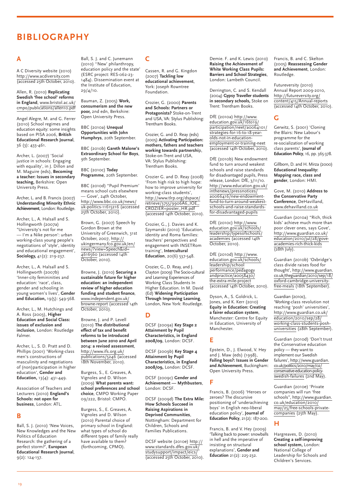### **Bibliography**

#### **A**

A C Diversity website (2010) <http://www.acdiversity.com> (accessed 25th October, 2010).

Allen, R. (2010) **Replicating Swedish 'free school' reforms in England**, [www.bristol.ac.uk/](http://www.bristol.ac.uk/cmpo/publications/allen10.pdf) [cmpo/publications/allen10.pdf](http://www.bristol.ac.uk/cmpo/publications/allen10.pdf)

Angel Alegre, M. and G. Ferrer (2010) School regimes and education equity: some insights based on PISA 2006, **British Educational Research Journal**, 36 (3): 433-461.

Archer, L. (2007) 'Social justice in schools: Engaging with equality', in J. Dillon and M. Maguire (eds), **Becoming a teacher: Issues in secondary teaching,** Berkshire: Open University Press.

Archer, L. and B. Francis (2007) **Understanding Minority Ethnic Achievement**, London: Routledge.

Archer, L., A. Halsall and S. Hollingworth (2007a) "University's not for me — I'm a Nike person': urban working-class young people's negotiations of 'style', identity and educational engagement', **Sociology,** 41(2): 219-237.

Archer, L., A. Halsall and S. Hollingworth (2007b) 'Inner-city femininities and education: 'race', class, gender and schooling in young women's lives', **Gender and Education,** 19(5): 549-568.

Archer, L., M. Hutchings and A. Ross (2003), **Higher Education and Social Class: issues of exclusion and inclusion**, London: Routledge Falmer.

Archer, L., S. D. Pratt and D. Phillips (2001) 'Working-class men's constructions of masculinity and negotiations of (non)participation in higher education', **Gender and Education,** 13(4): 431-449.

Association of Teachers and Lecturers (2010) **England's Schools: not open for business**, London: ATL.

#### **B**

Ball, S. J. (2010) 'New Voices, New Knowledges and the New Politics of Education Research: the gathering of a perfect storm?', **European Educational Research Journal**, 9(2): 124-137.

Ball, S. J. and C. Junemann (2010) ''New' philanthropy, education policy and the state' (ESRC project: RES-062-23- 1484). Dissemination event at the Institute of Education, 29/4/10.

Bauman, Z. (2005) **Work, consumerism and the new poor,** 2nd edn, Berkshire: Open University Press.

BBC (2010a) **Unequal Opportunities with John Humphrys**, 20th September.

BBC (2010b) **Gareth Malone's Extraordinary School for Boys**, 9th September.

BBC (2010c) **Today Programme**, 20th September.

BBC (2010d) "Pupil Premium' means school cuts elsewhere — Gove', 24th October, [http://www.bbc.co.uk/news/](http://www.bbc.co.uk/news/uk-politics-11615216) [uk-politics-11615216](http://www.bbc.co.uk/news/uk-politics-11615216) (accessed 25th October, 2010).

Brown, G. (2007) Speech by Gordon Brown at the University of Greenwich, 31st October, 2007, [http://](http://ukingermany.fco.gov.uk/en/news/?view=Speech&id=4616560) [ukingermany.fco.gov.uk/en/](http://ukingermany.fco.gov.uk/en/news/?view=Speech&id=4616560) [news/?view=Speech&id=](http://ukingermany.fco.gov.uk/en/news/?view=Speech&id=4616560) [4616560](http://ukingermany.fco.gov.uk/en/news/?view=Speech&id=4616560) (accessed 14th October, 2010).

Browne, J. (2010) **Securing a sustainable future for higher education: an independent review of higher education funding and student finance**, [www.independent.gov.uk/](http://www.independent.gov.uk/browne-report) [browne-report](http://www.independent.gov.uk/browne-report) (accessed 14th October, 2010).

Browne, J. and P. Levell (2010) **The distributional effect of tax and benefit reforms to be introduced between June 2010 and April 2014: a revised assessment**, [http://www.ifs.org.uk/](http://www.ifs.org.uk/publications/5246) [publications/5246](http://www.ifs.org.uk/publications/5246) (accessed 18th November, 2010).

Burgess, S., E. Greaves, A. Vignoles and D. Wilson (2009) **What parents want: school preferences and school choice**, CMPO Working Paper 09/222, Bristol: CMPO.

Burgess, S., E. Greaves, A. Vignoles and D. Wilson (2010) Parental choice of primary school in England: what types of school do different types of family really have available to them? (forthcoming, CPMO).

### **C**

Cassen, R. and G. Kingdon (2007) **Tackling low educational achievement**, York: Joseph Rowntree Foundation.

Crozier, G. (2000) **Parents and Schools: Partners or Protagonists?** Stoke-on-Trent and USA, VA: Stylus Publishing: Trentham Books.

Crozier, G. and D. Reay (eds) (2005) **Activating Participation: mothers, fathers and teachers working towards partnershi**p, Stoke-on-Trent and USA, VA: Stylus Publishing: Trentham Books.

Crozier G. and D. Reay (2008) 'From high risk to high hope: how to improve university for working-class students', [http://www.tlrp.org/dspace/](http://www.tlrp.org/dspace/retrieve/3755/9906A6_IOE_CROZIER+poster_HR.pdf) [retrieve/3755/9906A6\\_IOE\\_](http://www.tlrp.org/dspace/retrieve/3755/9906A6_IOE_CROZIER+poster_HR.pdf) [CROZIER+poster\\_HR.pdf](http://www.tlrp.org/dspace/retrieve/3755/9906A6_IOE_CROZIER+poster_HR.pdf) (accessed 14th October, 2010).

Crozier, G., J. Davies and K. Szymanski (2010) 'Education, identity and Roma families: teachers' perspectives and engagement with INSETRom training', **Intercultural Education**, 20(6) 537-548.

Crozier, G., D. Reay, and J. Clayton (2009) The Socio-cultural and Learning Experiences of Working Class Students In Higher Education. In M. David (Ed) **Widening Participation Through Improving Learning**, London, New York: Routledge.

#### **D**

DCSF (2009a) **Key Stage 2 Attainment by Pupil Characteristics, in England 2008/09**, London: DCSF.

DCSF (2009b) **Key Stage 4 Attainment by Pupil Characteristics, in England 2008/09,** London: DCSF.

DCSF (2009c) **Gender and Achievement — Mythbusters**, London: DCSF.

DCSF (2009d) **The Extra Mile: How Schools Succeed in Raising Aspirations in Deprived Communities**, Nottingham: Department for Children, Schools and Families Publications.

DCSF website (2010e) [http://](http://www.standards.dfes.gov.uk/studysupport/impact/eics/) [www.standards.dfes.gov.uk/](http://www.standards.dfes.gov.uk/studysupport/impact/eics/) [studysupport/impact/eics/](http://www.standards.dfes.gov.uk/studysupport/impact/eics/) (accessed 25th October, 2010).

Demie. F. and K. Lewis (2010) **Raising the Achievement of White Working Class Pupils: Barriers and School Strategies**, London: Lambeth Council.

Derrington, C. and S. Kendall (2004) **Gypsy Traveller students in secondary schools,** Stoke on Trent: Trentham Books.

DfE (2010a) [http://www.](http://www.education.gov.uk/16to19/participation/neet/a0064101/strategies-for-16-to-18-year-olds-not-in-education-employment-or-training-neet) [education.gov.uk/16to19/](http://www.education.gov.uk/16to19/participation/neet/a0064101/strategies-for-16-to-18-year-olds-not-in-education-employment-or-training-neet) [participation/neet/a0064101/](http://www.education.gov.uk/16to19/participation/neet/a0064101/strategies-for-16-to-18-year-olds-not-in-education-employment-or-training-neet) [strategies-for-16-to-18-year](http://www.education.gov.uk/16to19/participation/neet/a0064101/strategies-for-16-to-18-year-olds-not-in-education-employment-or-training-neet)[olds-not-in-education](http://www.education.gov.uk/16to19/participation/neet/a0064101/strategies-for-16-to-18-year-olds-not-in-education-employment-or-training-neet)[employment-or-training-neet](http://www.education.gov.uk/16to19/participation/neet/a0064101/strategies-for-16-to-18-year-olds-not-in-education-employment-or-training-neet) (accessed 14th October, 2010).

DfE (2010b) New endowment fund to turn around weakest schools and raise standards for disadvantaged pupils, Press release, London: DfE, 3/11/10. [http://www.education.gov.uk/](http://www.education.gov.uk/inthenews/pressnotices/a0066416/new-endowment-fund-to-turn-around-weakest-schools-and-raise-standards-for-disadvantaged-pupils) [inthenews/pressnotices/](http://www.education.gov.uk/inthenews/pressnotices/a0066416/new-endowment-fund-to-turn-around-weakest-schools-and-raise-standards-for-disadvantaged-pupils) [a0066416/new-endowment](http://www.education.gov.uk/inthenews/pressnotices/a0066416/new-endowment-fund-to-turn-around-weakest-schools-and-raise-standards-for-disadvantaged-pupils)[fund-to-turn-around-weakest](http://www.education.gov.uk/inthenews/pressnotices/a0066416/new-endowment-fund-to-turn-around-weakest-schools-and-raise-standards-for-disadvantaged-pupils)[schools-and-raise-standards](http://www.education.gov.uk/inthenews/pressnotices/a0066416/new-endowment-fund-to-turn-around-weakest-schools-and-raise-standards-for-disadvantaged-pupils)[for-disadvantaged-pupils](http://www.education.gov.uk/inthenews/pressnotices/a0066416/new-endowment-fund-to-turn-around-weakest-schools-and-raise-standards-for-disadvantaged-pupils)

DfE (2010c) [http://www.](http://www.education.gov.uk/schools/leadership/typesofschools/academies) [education.gov.uk/schools/](http://www.education.gov.uk/schools/leadership/typesofschools/academies) [leadership/typesofschools/](http://www.education.gov.uk/schools/leadership/typesofschools/academies) [academies](http://www.education.gov.uk/schools/leadership/typesofschools/academies) (accessed 14th October, 2010).

DfE (2010d) [http://www.](http://www.education.gov.uk/schools/leadership/schoolperformance/pedagogyandpractice/a0058430/the-extra-mile-project) [education.gov.uk/schools/](http://www.education.gov.uk/schools/leadership/schoolperformance/pedagogyandpractice/a0058430/the-extra-mile-project) [leadership/school](http://www.education.gov.uk/schools/leadership/schoolperformance/pedagogyandpractice/a0058430/the-extra-mile-project) [performance/pedagogy](http://www.education.gov.uk/schools/leadership/schoolperformance/pedagogyandpractice/a0058430/the-extra-mile-project) [andpractice/a0058430/](http://www.education.gov.uk/schools/leadership/schoolperformance/pedagogyandpractice/a0058430/the-extra-mile-project) [the-extra-mile-project](http://www.education.gov.uk/schools/leadership/schoolperformance/pedagogyandpractice/a0058430/the-extra-mile-project) (accessed 14th October, 2010).

Dyson, A., S. Goldrick, L. Jones, and K. Kerr (2010) **Equity in Education: Creating a fairer education system**, Manchester: Centre for Equity in Education, University of Manchester.

#### **E**

Epstein, D., J. Elwood, V. Hey and J. Maw (eds) (1998), **Failing boys?: Issues in Gender and Achievement**, Buckingham: Open University Press.

**F** 

Francis, B. (2006) 'Heroes or zeroes? The discursive positioning of 'underachieving boys' in English neo-liberal education policy', **Journal of Education Policy**, 21(2): 187-200.

Francis, B. and V. Hey (2009) 'Talking back to power: snowballs in hell and the imperative of insisting on structural explanations', **Gender and Education** 21(2): 225-232.

Francis, B. and C. Skelton (2005) **Reassessing Gender and Achievement**, London: Routledge.

Futureversity (2010) Annual Report 2009-2010, [http://futureversity.org/](http://futureversity.org/content/415/Annual-reports) [content/415/Annual-reports](http://futureversity.org/content/415/Annual-reports) (accessed 14th October, 2010).

### **G**

Gerwitz, S. (2001) 'Cloning the Blairs: New Labour's programme for the re-socialization of working class parents', **Journal of Education Policy**,16, pp. 365-378.

Gillborn, D. and H. Mirza (2000) **Educational Inequality: Mapping race, class and gender**, London: HMI.

Gove, M. (2010) **Address to the Conservative Party Conference**, DeHavilland, [www.dehavilland.co.uk](http://www.dehavilland.co.uk)

Guardian (2010a) "Rich, thick kids' achieve much more than poor clever ones, says Gove', [http://www.guardian.co.uk/](http://www.guardian.co.uk/education/2010/jul/28/gove-academies-rich-thick-kids) [education/2010/jul/28/gove](http://www.guardian.co.uk/education/2010/jul/28/gove-academies-rich-thick-kids)[academies-rich-thick-kids](http://www.guardian.co.uk/education/2010/jul/28/gove-academies-rich-thick-kids)  $(28th$  July).

Guardian (2010b) 'Oxbridge's class divide raises food for thought', [http://www.guardian.](http://www.guardian.co.uk/theguardian/2010/sep/18/oxford-cambridge-university-free-meals) [co.uk/theguardian/2010/sep/18/](http://www.guardian.co.uk/theguardian/2010/sep/18/oxford-cambridge-university-free-meals) [oxford-cambridge-university](http://www.guardian.co.uk/theguardian/2010/sep/18/oxford-cambridge-university-free-meals)[free-meals](http://www.guardian.co.uk/theguardian/2010/sep/18/oxford-cambridge-university-free-meals) (18th September).

Guardian (2010c),

'Working-class revolution not reaching 'posh' universities', [http://www.guardian.co.uk/](http://www.guardian.co.uk/education/2010/sep/28/working-class-students-posh-universities) [education/2010/sep/28/](http://www.guardian.co.uk/education/2010/sep/28/working-class-students-posh-universities) [working-class-students-posh](http://www.guardian.co.uk/education/2010/sep/28/working-class-students-posh-universities)[universities](http://www.guardian.co.uk/education/2010/sep/28/working-class-students-posh-universities) (28th September).

Guardian (2010d) 'Don't trust the Conservative education policy — they want to implement our Swedish failures', [http://www.guardian.](http://www.guardian.co.uk/politics/2010/may/02/conservative-education-policy-swedish-failures) [co.uk/politics/2010/may/02/](http://www.guardian.co.uk/politics/2010/may/02/conservative-education-policy-swedish-failures) [conservative-education-policy](http://www.guardian.co.uk/politics/2010/may/02/conservative-education-policy-swedish-failures)[swedish-failures](http://www.guardian.co.uk/politics/2010/may/02/conservative-education-policy-swedish-failures) (2nd May).

Guardian (2010e) 'Private companies will run 'free schools", [http://www.guardian.](http://www.guardian.co.uk/education/2010/may/25/free-schools-private-companies) [co.uk/education/2010/](http://www.guardian.co.uk/education/2010/may/25/free-schools-private-companies) [may/25/free-schools-private](http://www.guardian.co.uk/education/2010/may/25/free-schools-private-companies)[companies](http://www.guardian.co.uk/education/2010/may/25/free-schools-private-companies) (25th May).

#### **H**

Hargreaves, D. (2010) **Creating a self-improving school system,** London: National College of Leadership for Schools and Children's Services.